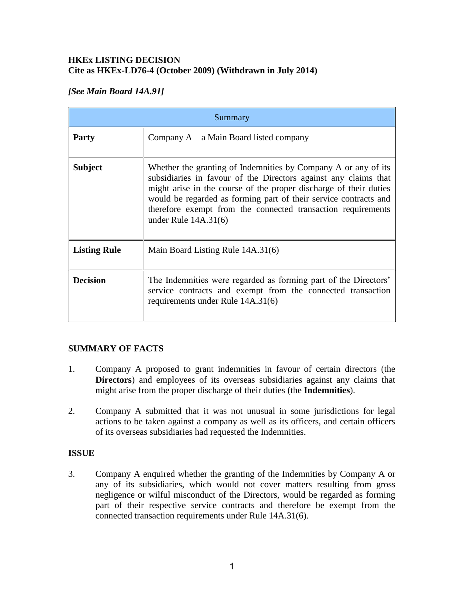#### **HKEx LISTING DECISION Cite as HKEx-LD76-4 (October 2009) (Withdrawn in July 2014)**

# *[See Main Board 14A.91]*

| Summary             |                                                                                                                                                                                                                                                                                                                                                                      |
|---------------------|----------------------------------------------------------------------------------------------------------------------------------------------------------------------------------------------------------------------------------------------------------------------------------------------------------------------------------------------------------------------|
| <b>Party</b>        | Company $A - a$ Main Board listed company                                                                                                                                                                                                                                                                                                                            |
| <b>Subject</b>      | Whether the granting of Indemnities by Company A or any of its<br>subsidiaries in favour of the Directors against any claims that<br>might arise in the course of the proper discharge of their duties<br>would be regarded as forming part of their service contracts and<br>therefore exempt from the connected transaction requirements<br>under Rule $14A.31(6)$ |
| <b>Listing Rule</b> | Main Board Listing Rule 14A.31(6)                                                                                                                                                                                                                                                                                                                                    |
| <b>Decision</b>     | The Indemnities were regarded as forming part of the Directors'<br>service contracts and exempt from the connected transaction<br>requirements under Rule 14A.31(6)                                                                                                                                                                                                  |

## **SUMMARY OF FACTS**

- 1. Company A proposed to grant indemnities in favour of certain directors (the **Directors**) and employees of its overseas subsidiaries against any claims that might arise from the proper discharge of their duties (the **Indemnities**).
- 2. Company A submitted that it was not unusual in some jurisdictions for legal actions to be taken against a company as well as its officers, and certain officers of its overseas subsidiaries had requested the Indemnities.

## **ISSUE**

3. Company A enquired whether the granting of the Indemnities by Company A or any of its subsidiaries, which would not cover matters resulting from gross negligence or wilful misconduct of the Directors, would be regarded as forming part of their respective service contracts and therefore be exempt from the connected transaction requirements under Rule 14A.31(6).